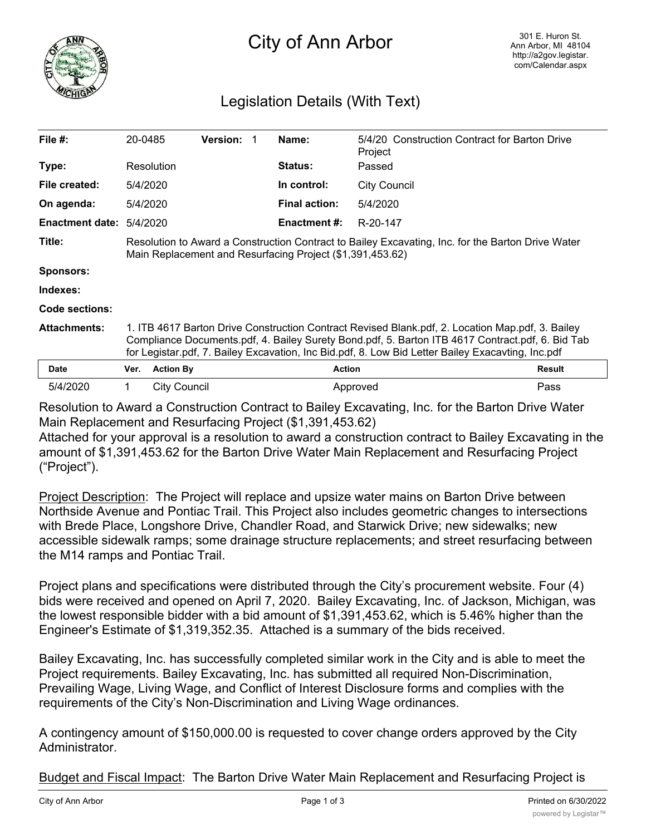

## City of Ann Arbor

## Legislation Details (With Text)

| File #:                | 20-0485                                                                                                                                                                                                                                                                                                   |                  | <b>Version:</b> |  | Name:                | 5/4/20 Construction Contract for Barton Drive<br>Project |        |
|------------------------|-----------------------------------------------------------------------------------------------------------------------------------------------------------------------------------------------------------------------------------------------------------------------------------------------------------|------------------|-----------------|--|----------------------|----------------------------------------------------------|--------|
| Type:                  |                                                                                                                                                                                                                                                                                                           | Resolution       |                 |  | <b>Status:</b>       | Passed                                                   |        |
| File created:          | 5/4/2020                                                                                                                                                                                                                                                                                                  |                  |                 |  | In control:          | <b>City Council</b>                                      |        |
| On agenda:             | 5/4/2020                                                                                                                                                                                                                                                                                                  |                  |                 |  | <b>Final action:</b> | 5/4/2020                                                 |        |
| <b>Enactment date:</b> | 5/4/2020                                                                                                                                                                                                                                                                                                  |                  |                 |  | <b>Enactment #:</b>  | R-20-147                                                 |        |
| Title:                 | Resolution to Award a Construction Contract to Bailey Excavating, Inc. for the Barton Drive Water<br>Main Replacement and Resurfacing Project (\$1,391,453.62)                                                                                                                                            |                  |                 |  |                      |                                                          |        |
| <b>Sponsors:</b>       |                                                                                                                                                                                                                                                                                                           |                  |                 |  |                      |                                                          |        |
| Indexes:               |                                                                                                                                                                                                                                                                                                           |                  |                 |  |                      |                                                          |        |
| Code sections:         |                                                                                                                                                                                                                                                                                                           |                  |                 |  |                      |                                                          |        |
| <b>Attachments:</b>    | 1. ITB 4617 Barton Drive Construction Contract Revised Blank.pdf, 2. Location Map.pdf, 3. Bailey<br>Compliance Documents.pdf, 4. Bailey Surety Bond.pdf, 5. Barton ITB 4617 Contract.pdf, 6. Bid Tab<br>for Legistar.pdf, 7. Bailey Excavation, Inc Bid.pdf, 8. Low Bid Letter Bailey Exacavting, Inc.pdf |                  |                 |  |                      |                                                          |        |
| <b>Date</b>            | Ver.                                                                                                                                                                                                                                                                                                      | <b>Action By</b> |                 |  | <b>Action</b>        |                                                          | Result |
| 5/4/2020               |                                                                                                                                                                                                                                                                                                           | City Council     |                 |  |                      | Approved                                                 | Pass   |

Resolution to Award a Construction Contract to Bailey Excavating, Inc. for the Barton Drive Water Main Replacement and Resurfacing Project (\$1,391,453.62)

Attached for your approval is a resolution to award a construction contract to Bailey Excavating in the amount of \$1,391,453.62 for the Barton Drive Water Main Replacement and Resurfacing Project ("Project").

Project Description: The Project will replace and upsize water mains on Barton Drive between Northside Avenue and Pontiac Trail. This Project also includes geometric changes to intersections with Brede Place, Longshore Drive, Chandler Road, and Starwick Drive; new sidewalks; new accessible sidewalk ramps; some drainage structure replacements; and street resurfacing between the M14 ramps and Pontiac Trail.

Project plans and specifications were distributed through the City's procurement website. Four (4) bids were received and opened on April 7, 2020. Bailey Excavating, Inc. of Jackson, Michigan, was the lowest responsible bidder with a bid amount of \$1,391,453.62, which is 5.46% higher than the Engineer's Estimate of \$1,319,352.35. Attached is a summary of the bids received.

Bailey Excavating, Inc. has successfully completed similar work in the City and is able to meet the Project requirements. Bailey Excavating, Inc. has submitted all required Non-Discrimination, Prevailing Wage, Living Wage, and Conflict of Interest Disclosure forms and complies with the requirements of the City's Non-Discrimination and Living Wage ordinances.

A contingency amount of \$150,000.00 is requested to cover change orders approved by the City Administrator.

Budget and Fiscal Impact: The Barton Drive Water Main Replacement and Resurfacing Project is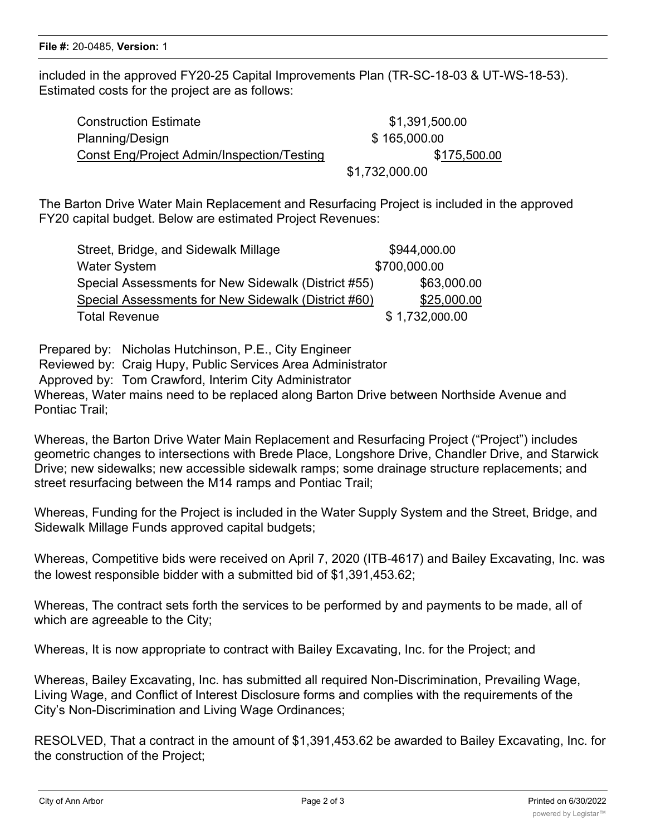included in the approved FY20-25 Capital Improvements Plan (TR-SC-18-03 & UT-WS-18-53). Estimated costs for the project are as follows:

Construction Estimate  $$1,391,500.00$ Planning/Design **\$ 165,000.00** Const Eng/Project Admin/Inspection/Testing \$175,500.00

\$1,732,000.00

The Barton Drive Water Main Replacement and Resurfacing Project is included in the approved FY20 capital budget. Below are estimated Project Revenues:

| Street, Bridge, and Sidewalk Millage                | \$944,000.00   |
|-----------------------------------------------------|----------------|
| <b>Water System</b>                                 | \$700,000.00   |
| Special Assessments for New Sidewalk (District #55) | \$63,000.00    |
| Special Assessments for New Sidewalk (District #60) | \$25,000.00    |
| <b>Total Revenue</b>                                | \$1,732,000.00 |

Prepared by: Nicholas Hutchinson, P.E., City Engineer Reviewed by: Craig Hupy, Public Services Area Administrator Approved by: Tom Crawford, Interim City Administrator Whereas, Water mains need to be replaced along Barton Drive between Northside Avenue and Pontiac Trail;

Whereas, the Barton Drive Water Main Replacement and Resurfacing Project ("Project") includes geometric changes to intersections with Brede Place, Longshore Drive, Chandler Drive, and Starwick Drive; new sidewalks; new accessible sidewalk ramps; some drainage structure replacements; and street resurfacing between the M14 ramps and Pontiac Trail;

Whereas, Funding for the Project is included in the Water Supply System and the Street, Bridge, and Sidewalk Millage Funds approved capital budgets;

Whereas, Competitive bids were received on April 7, 2020 (ITB-4617) and Bailey Excavating, Inc. was the lowest responsible bidder with a submitted bid of \$1,391,453.62;

Whereas, The contract sets forth the services to be performed by and payments to be made, all of which are agreeable to the City;

Whereas, It is now appropriate to contract with Bailey Excavating, Inc. for the Project; and

Whereas, Bailey Excavating, Inc. has submitted all required Non-Discrimination, Prevailing Wage, Living Wage, and Conflict of Interest Disclosure forms and complies with the requirements of the City's Non-Discrimination and Living Wage Ordinances;

RESOLVED, That a contract in the amount of \$1,391,453.62 be awarded to Bailey Excavating, Inc. for the construction of the Project;